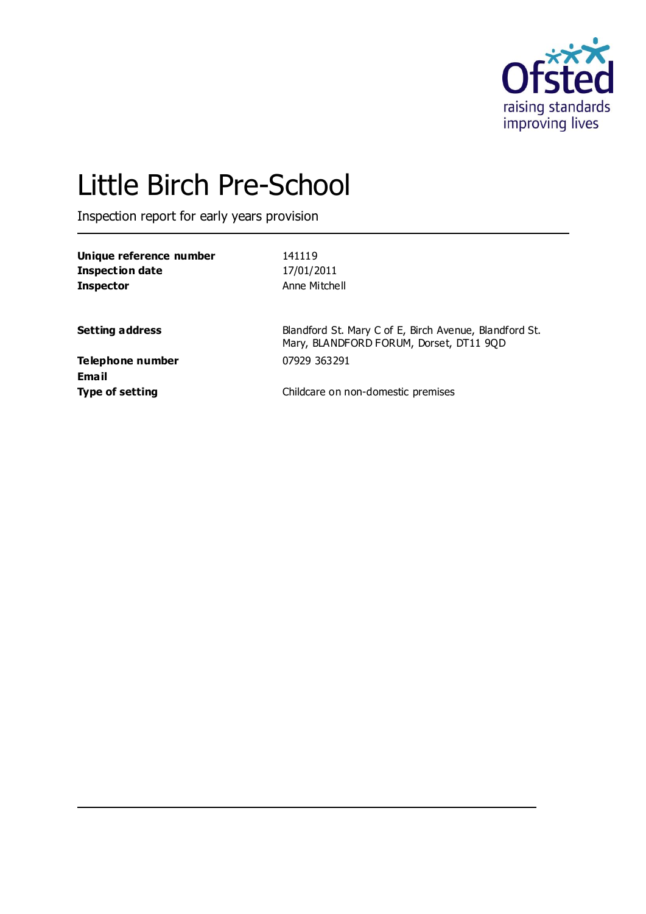

# Little Birch Pre-School

Inspection report for early years provision

| Unique reference number | 141119        |
|-------------------------|---------------|
| Inspection date         | 17/01/2011    |
| Inspector               | Anne Mitchell |
|                         |               |

**Setting address** Blandford St. Mary C of E, Birch Avenue, Blandford St. Mary, BLANDFORD FORUM, Dorset, DT11 9QD

**Telephone number** 07929 363291 **Email**

**Type of setting Childcare on non-domestic premises**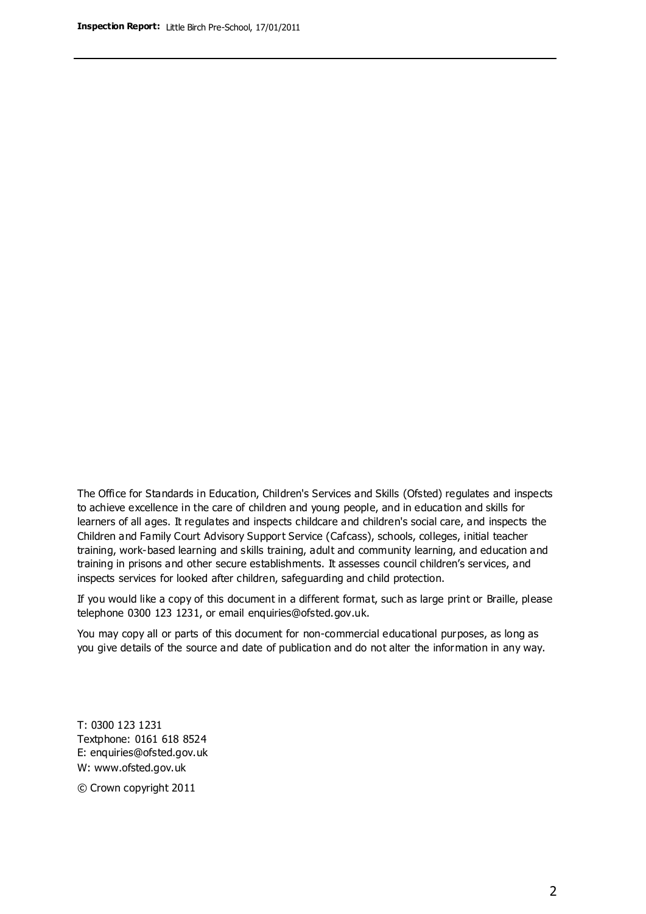The Office for Standards in Education, Children's Services and Skills (Ofsted) regulates and inspects to achieve excellence in the care of children and young people, and in education and skills for learners of all ages. It regulates and inspects childcare and children's social care, and inspects the Children and Family Court Advisory Support Service (Cafcass), schools, colleges, initial teacher training, work-based learning and skills training, adult and community learning, and education and training in prisons and other secure establishments. It assesses council children's services, and inspects services for looked after children, safeguarding and child protection.

If you would like a copy of this document in a different format, such as large print or Braille, please telephone 0300 123 1231, or email enquiries@ofsted.gov.uk.

You may copy all or parts of this document for non-commercial educational purposes, as long as you give details of the source and date of publication and do not alter the information in any way.

T: 0300 123 1231 Textphone: 0161 618 8524 E: enquiries@ofsted.gov.uk W: [www.ofsted.gov.uk](http://www.ofsted.gov.uk/)

© Crown copyright 2011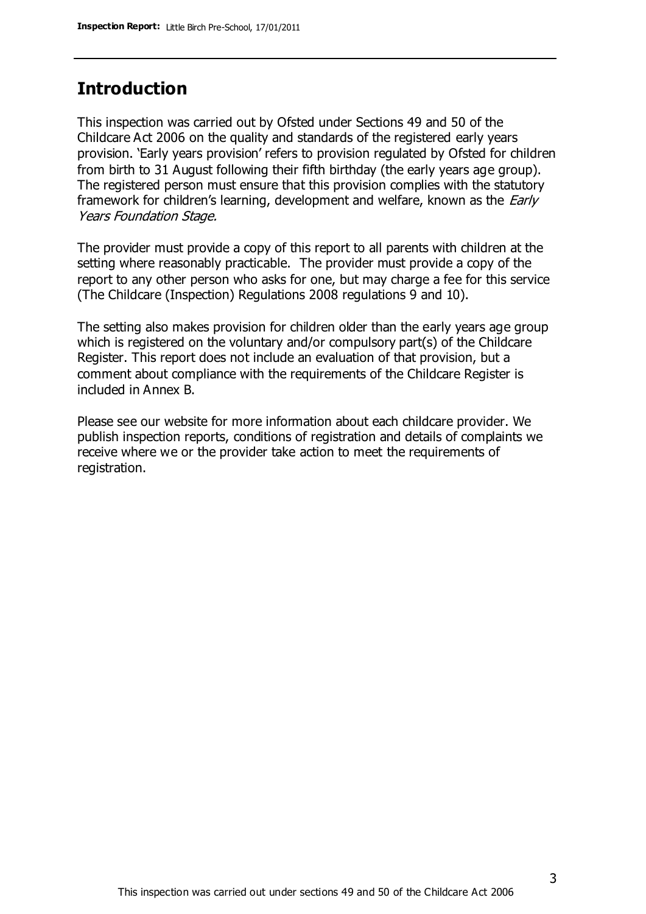## **Introduction**

This inspection was carried out by Ofsted under Sections 49 and 50 of the Childcare Act 2006 on the quality and standards of the registered early years provision. 'Early years provision' refers to provision regulated by Ofsted for children from birth to 31 August following their fifth birthday (the early years age group). The registered person must ensure that this provision complies with the statutory framework for children's learning, development and welfare, known as the *Early* Years Foundation Stage.

The provider must provide a copy of this report to all parents with children at the setting where reasonably practicable. The provider must provide a copy of the report to any other person who asks for one, but may charge a fee for this service (The Childcare (Inspection) Regulations 2008 regulations 9 and 10).

The setting also makes provision for children older than the early years age group which is registered on the voluntary and/or compulsory part(s) of the Childcare Register. This report does not include an evaluation of that provision, but a comment about compliance with the requirements of the Childcare Register is included in Annex B.

Please see our website for more information about each childcare provider. We publish inspection reports, conditions of registration and details of complaints we receive where we or the provider take action to meet the requirements of registration.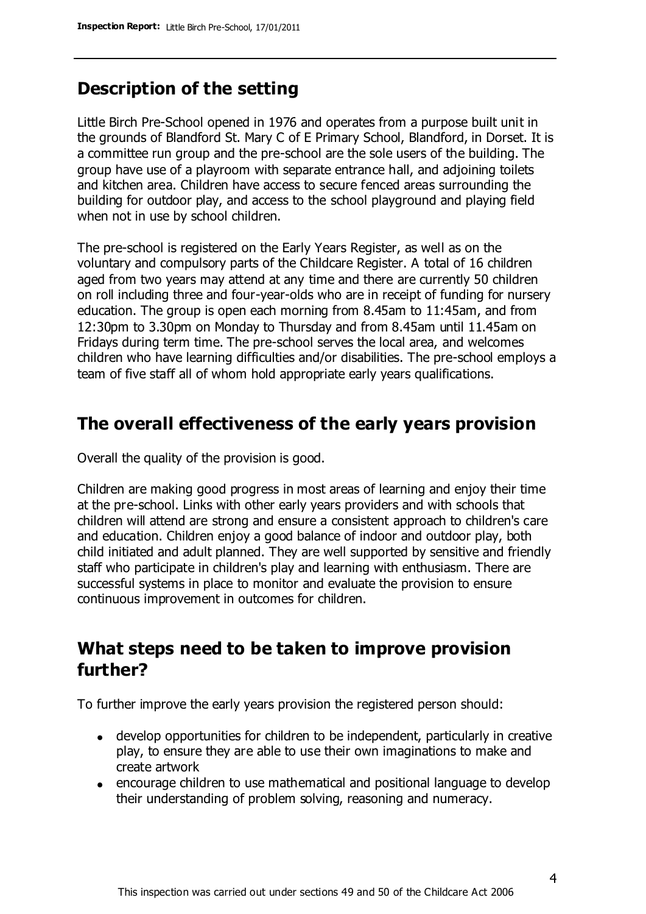# **Description of the setting**

Little Birch Pre-School opened in 1976 and operates from a purpose built unit in the grounds of Blandford St. Mary C of E Primary School, Blandford, in Dorset. It is a committee run group and the pre-school are the sole users of the building. The group have use of a playroom with separate entrance hall, and adjoining toilets and kitchen area. Children have access to secure fenced areas surrounding the building for outdoor play, and access to the school playground and playing field when not in use by school children.

The pre-school is registered on the Early Years Register, as well as on the voluntary and compulsory parts of the Childcare Register. A total of 16 children aged from two years may attend at any time and there are currently 50 children on roll including three and four-year-olds who are in receipt of funding for nursery education. The group is open each morning from 8.45am to 11:45am, and from 12:30pm to 3.30pm on Monday to Thursday and from 8.45am until 11.45am on Fridays during term time. The pre-school serves the local area, and welcomes children who have learning difficulties and/or disabilities. The pre-school employs a team of five staff all of whom hold appropriate early years qualifications.

## **The overall effectiveness of the early years provision**

Overall the quality of the provision is good.

Children are making good progress in most areas of learning and enjoy their time at the pre-school. Links with other early years providers and with schools that children will attend are strong and ensure a consistent approach to children's care and education. Children enjoy a good balance of indoor and outdoor play, both child initiated and adult planned. They are well supported by sensitive and friendly staff who participate in children's play and learning with enthusiasm. There are successful systems in place to monitor and evaluate the provision to ensure continuous improvement in outcomes for children.

# **What steps need to be taken to improve provision further?**

To further improve the early years provision the registered person should:

- develop opportunities for children to be independent, particularly in creative play, to ensure they are able to use their own imaginations to make and create artwork
- encourage children to use mathematical and positional language to develop their understanding of problem solving, reasoning and numeracy.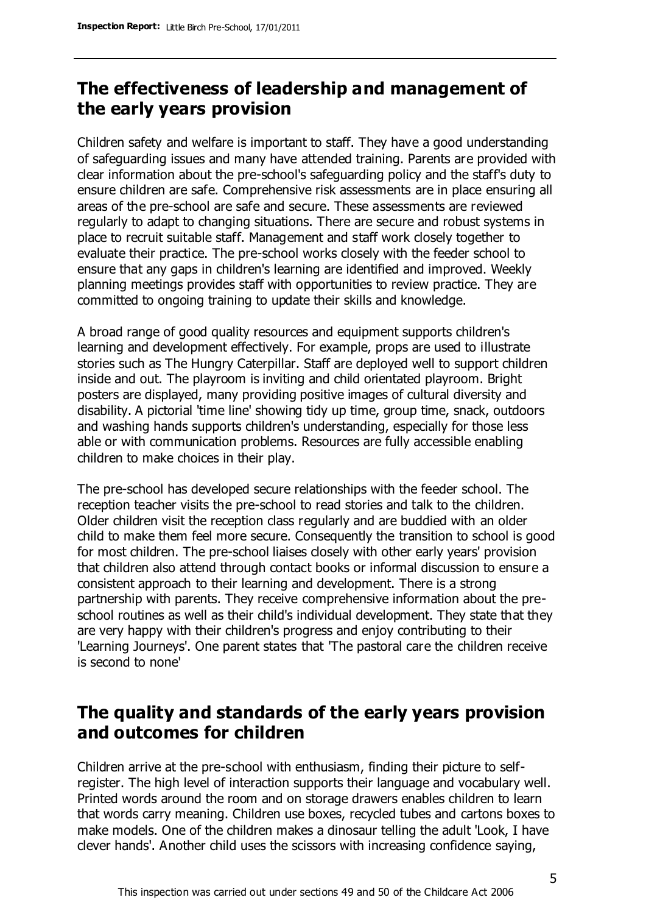# **The effectiveness of leadership and management of the early years provision**

Children safety and welfare is important to staff. They have a good understanding of safeguarding issues and many have attended training. Parents are provided with clear information about the pre-school's safeguarding policy and the staff's duty to ensure children are safe. Comprehensive risk assessments are in place ensuring all areas of the pre-school are safe and secure. These assessments are reviewed regularly to adapt to changing situations. There are secure and robust systems in place to recruit suitable staff. Management and staff work closely together to evaluate their practice. The pre-school works closely with the feeder school to ensure that any gaps in children's learning are identified and improved. Weekly planning meetings provides staff with opportunities to review practice. They are committed to ongoing training to update their skills and knowledge.

A broad range of good quality resources and equipment supports children's learning and development effectively. For example, props are used to illustrate stories such as The Hungry Caterpillar. Staff are deployed well to support children inside and out. The playroom is inviting and child orientated playroom. Bright posters are displayed, many providing positive images of cultural diversity and disability. A pictorial 'time line' showing tidy up time, group time, snack, outdoors and washing hands supports children's understanding, especially for those less able or with communication problems. Resources are fully accessible enabling children to make choices in their play.

The pre-school has developed secure relationships with the feeder school. The reception teacher visits the pre-school to read stories and talk to the children. Older children visit the reception class regularly and are buddied with an older child to make them feel more secure. Consequently the transition to school is good for most children. The pre-school liaises closely with other early years' provision that children also attend through contact books or informal discussion to ensure a consistent approach to their learning and development. There is a strong partnership with parents. They receive comprehensive information about the preschool routines as well as their child's individual development. They state that they are very happy with their children's progress and enjoy contributing to their 'Learning Journeys'. One parent states that 'The pastoral care the children receive is second to none'

# **The quality and standards of the early years provision and outcomes for children**

Children arrive at the pre-school with enthusiasm, finding their picture to selfregister. The high level of interaction supports their language and vocabulary well. Printed words around the room and on storage drawers enables children to learn that words carry meaning. Children use boxes, recycled tubes and cartons boxes to make models. One of the children makes a dinosaur telling the adult 'Look, I have clever hands'. Another child uses the scissors with increasing confidence saying,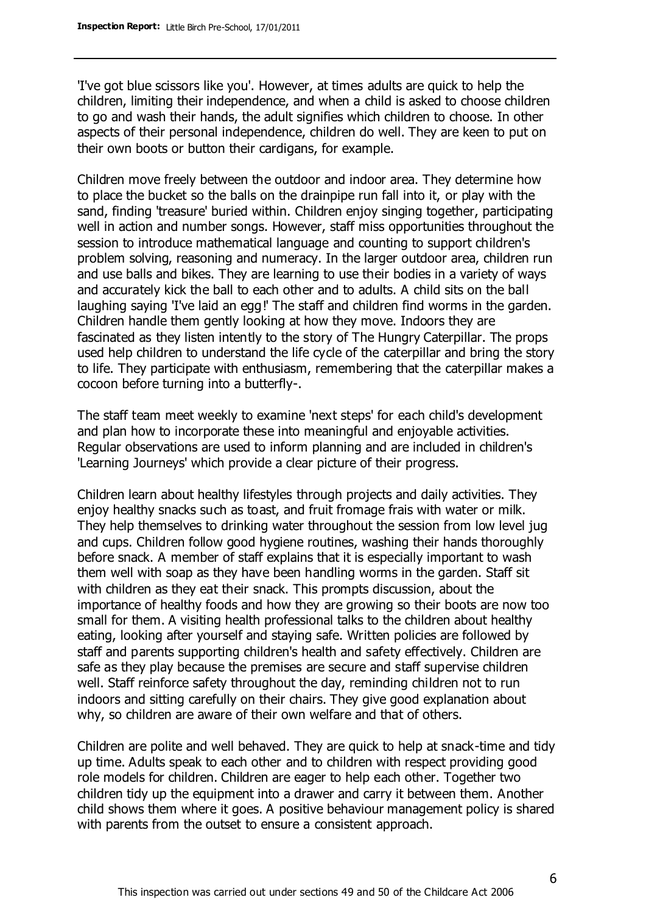'I've got blue scissors like you'. However, at times adults are quick to help the children, limiting their independence, and when a child is asked to choose children to go and wash their hands, the adult signifies which children to choose. In other aspects of their personal independence, children do well. They are keen to put on their own boots or button their cardigans, for example.

Children move freely between the outdoor and indoor area. They determine how to place the bucket so the balls on the drainpipe run fall into it, or play with the sand, finding 'treasure' buried within. Children enjoy singing together, participating well in action and number songs. However, staff miss opportunities throughout the session to introduce mathematical language and counting to support children's problem solving, reasoning and numeracy. In the larger outdoor area, children run and use balls and bikes. They are learning to use their bodies in a variety of ways and accurately kick the ball to each other and to adults. A child sits on the ball laughing saying 'I've laid an egg!' The staff and children find worms in the garden. Children handle them gently looking at how they move. Indoors they are fascinated as they listen intently to the story of The Hungry Caterpillar. The props used help children to understand the life cycle of the caterpillar and bring the story to life. They participate with enthusiasm, remembering that the caterpillar makes a cocoon before turning into a butterfly-.

The staff team meet weekly to examine 'next steps' for each child's development and plan how to incorporate these into meaningful and enjoyable activities. Regular observations are used to inform planning and are included in children's 'Learning Journeys' which provide a clear picture of their progress.

Children learn about healthy lifestyles through projects and daily activities. They enjoy healthy snacks such as toast, and fruit fromage frais with water or milk. They help themselves to drinking water throughout the session from low level jug and cups. Children follow good hygiene routines, washing their hands thoroughly before snack. A member of staff explains that it is especially important to wash them well with soap as they have been handling worms in the garden. Staff sit with children as they eat their snack. This prompts discussion, about the importance of healthy foods and how they are growing so their boots are now too small for them. A visiting health professional talks to the children about healthy eating, looking after yourself and staying safe. Written policies are followed by staff and parents supporting children's health and safety effectively. Children are safe as they play because the premises are secure and staff supervise children well. Staff reinforce safety throughout the day, reminding children not to run indoors and sitting carefully on their chairs. They give good explanation about why, so children are aware of their own welfare and that of others.

Children are polite and well behaved. They are quick to help at snack-time and tidy up time. Adults speak to each other and to children with respect providing good role models for children. Children are eager to help each other. Together two children tidy up the equipment into a drawer and carry it between them. Another child shows them where it goes. A positive behaviour management policy is shared with parents from the outset to ensure a consistent approach.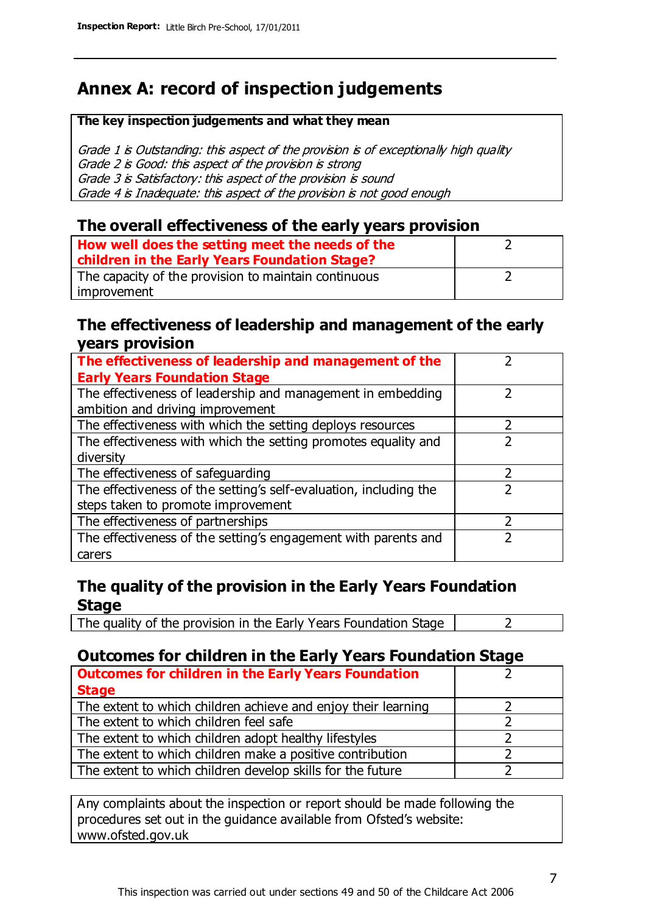# **Annex A: record of inspection judgements**

#### **The key inspection judgements and what they mean**

Grade 1 is Outstanding: this aspect of the provision is of exceptionally high quality Grade 2 is Good: this aspect of the provision is strong Grade 3 is Satisfactory: this aspect of the provision is sound Grade 4 is Inadequate: this aspect of the provision is not good enough

#### **The overall effectiveness of the early years provision**

| How well does the setting meet the needs of the<br>children in the Early Years Foundation Stage? |  |
|--------------------------------------------------------------------------------------------------|--|
| The capacity of the provision to maintain continuous                                             |  |
| improvement                                                                                      |  |

#### **The effectiveness of leadership and management of the early years provision**

| The effectiveness of leadership and management of the                                           |               |
|-------------------------------------------------------------------------------------------------|---------------|
| <b>Early Years Foundation Stage</b>                                                             |               |
| The effectiveness of leadership and management in embedding<br>ambition and driving improvement |               |
| The effectiveness with which the setting deploys resources                                      |               |
| The effectiveness with which the setting promotes equality and                                  |               |
| diversity                                                                                       |               |
| The effectiveness of safeguarding                                                               | $\mathcal{P}$ |
| The effectiveness of the setting's self-evaluation, including the                               |               |
| steps taken to promote improvement                                                              |               |
| The effectiveness of partnerships                                                               |               |
| The effectiveness of the setting's engagement with parents and                                  |               |
| carers                                                                                          |               |

### **The quality of the provision in the Early Years Foundation Stage**

The quality of the provision in the Early Years Foundation Stage  $\vert$  2

## **Outcomes for children in the Early Years Foundation Stage**

| <b>Outcomes for children in the Early Years Foundation</b>    |  |
|---------------------------------------------------------------|--|
| <b>Stage</b>                                                  |  |
| The extent to which children achieve and enjoy their learning |  |
| The extent to which children feel safe                        |  |
| The extent to which children adopt healthy lifestyles         |  |
| The extent to which children make a positive contribution     |  |
| The extent to which children develop skills for the future    |  |

Any complaints about the inspection or report should be made following the procedures set out in the guidance available from Ofsted's website: www.ofsted.gov.uk